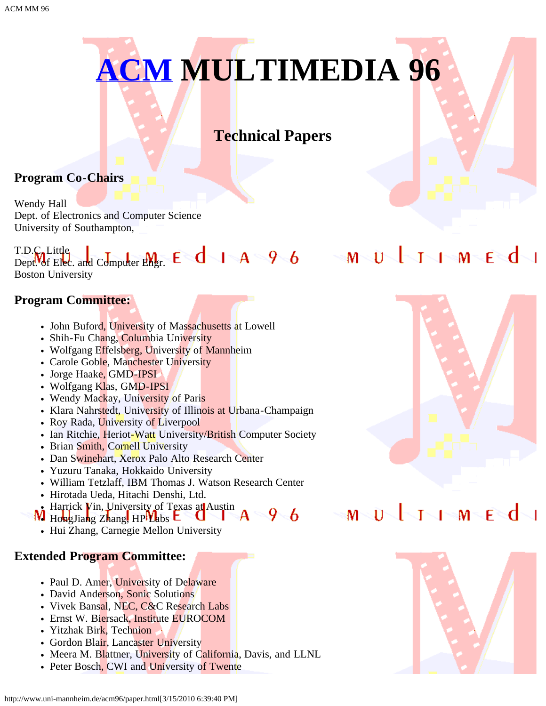

# **Technical Papers**

### **Program Co-Chairs**

Wendy Hall Dept. of Electronics and Computer Science University of Southampton,

#### T.D.C. Little Dept. of Elec. and Computer Engr. Boston University

#### **Program Committee:**

- John Buford, University of Massachusetts at Lowell
- Shih-Fu Chang, Columbia University
- Wolfgang Effelsberg, University of Mannheim
- Carole Goble, Manchester University
- Jorge Haake, GMD-IPSI
- Wolfgang Klas, GMD-IPSI
- Wendy Mackay, University of Paris
- Klara Nahrstedt, University of Illinois at Urbana-Champaign
- Roy Rada, University of Liverpool
- Ian Ritchie, Heriot-Watt University/British Computer Society
- Brian Smith, Cornell University
- Dan Swinehart, Xerox Palo Alto Research Center
- Yuzuru Tanaka, Hokkaido University
- William Tetzlaff, IBM Thomas J. Watson Research Center
- Hirotada Ueda, Hitachi Denshi, Ltd.
- Harrick Vin, University of Texas at Austin
- 96  $W$  HongJiang Zhang, HP $V$ abs  $E$ 
	- Hui Zhang, Carnegie Mellon University

### **Extended Program Committee:**

- Paul D. Amer, University of Delaware
- David Anderson, Sonic Solutions
- Vivek Bansal, NEC, C&C Research Labs
- Ernst W. Biersack, Institute EUROCOM
- Yitzhak Birk, Technion
- Gordon Blair, Lancaster University
- Meera M. Blattner, University of California, Davis, and LLNL
- Peter Bosch, CWI and University of Twente



# MUJIMEd

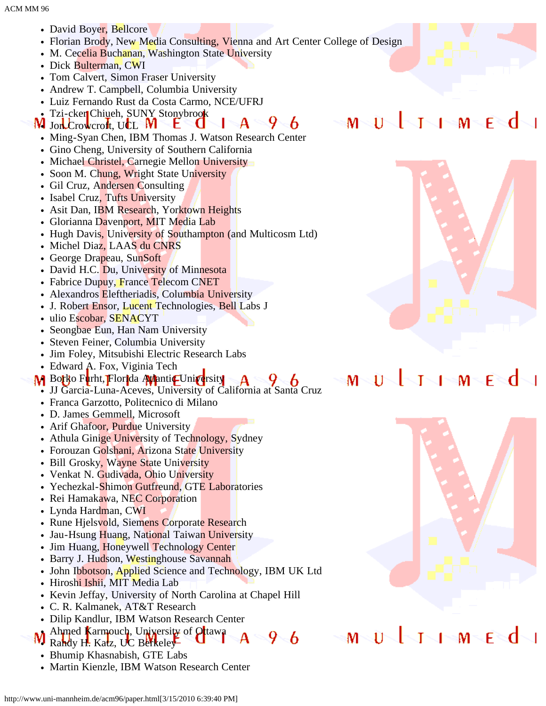- David Boyer, Bellcore
- Florian Brody, New Media Consulting, Vienna and Art Center College of Design
- M. Cecelia Buchanan, Washington State University
- Dick Bulterman, CWI
- Tom Calvert, Simon Fraser University
- Andrew T. Campbell, Columbia University
- Luiz Fernando Rust da Costa Carmo, NCE/UFRJ
- Tzi-cker Chiueh, SUNY Stonybrook
- $9 6$  $-A$ **W** Jon Crowcroft, UCL W t.
	- Ming-Syan Chen, IBM Thomas J. Watson Research Center
	- Gino Cheng, University of Southern California
	- Michael Christel, Carnegie Mellon University
	- Soon M. Chung, Wright State University
	- Gil Cruz, Andersen Consulting
	- Isabel Cruz, Tufts University
	- Asit Dan, IBM Research, Yorktown Heights
	- Glorianna Davenport, MIT Media Lab
	- Hugh Davis, University of Southampton (and Multicosm Ltd)
	- Michel Diaz, LAAS du CNRS
	- George Drapeau, SunSoft
	- David H.C. Du, University of Minnesota
	- Fabrice Dupuy, France Telecom CNET
	- Alexandros Eleftheriadis, Columbia University
	- J. Robert Ensor, Lucent Technologies, Bell Labs J
	- ulio Escobar, SENACYT
	- Seongbae Eun, Han Nam University  $\bullet$
	- Steven Feiner, Columbia University
	- Jim Foley, Mitsubishi Electric Research Labs
	- Edward A. Fox, Viginia Tech
- M Borko Furht, Florida Atlantic University
	- JJ Garcia-Luna-Aceves, University of California at Santa Cruz
	- Franca Garzotto, Politecnico di Milano
	- D. James Gemmell, Microsoft
	- Arif Ghafoor, Purdue University
	- Athula Ginige University of Technology, Sydney
	- Forouzan Golshani, Arizona State University
	- Bill Grosky, Wayne State University  $\bullet$
	- Venkat N. Gudivada, Ohio University
	- Yechezkal-Shimon Gutfreund, GTE Laboratories
	- Rei Hamakawa, NEC Corporation
	- Lynda Hardman, CWI
	- Rune Hjelsvold, Siemens Corporate Research
	- Jau-Hsung Huang, National Taiwan University
	- Jim Huang, Honeywell Technology Center  $\bullet$
	- Barry J. Hudson, Westinghouse Savannah
	- John Ibbotson, Applied Science and Technology, IBM UK Ltd
	- Hiroshi Ishii, MIT Media Lab
	- Kevin Jeffay, University of North Carolina at Chapel Hill
	- C. R. Kalmanek, AT&T Research
	- Dilip Kandlur, IBM Watson Research Center
- Ahmed Karmouch, University of Otawa  $9 - 6$ Randy H. Katz, UC Berkeley
- Bhumip Khasnabish, GTE Labs
- Martin Kienzle, IBM Watson Research Center



 $\sqrt{2}$  M  $\leq$  F  $\leq$  C

T

 $M > U$ 

#### $1 - M$ r≈d т M 11



#### Ĥ T  $1 - M$ F M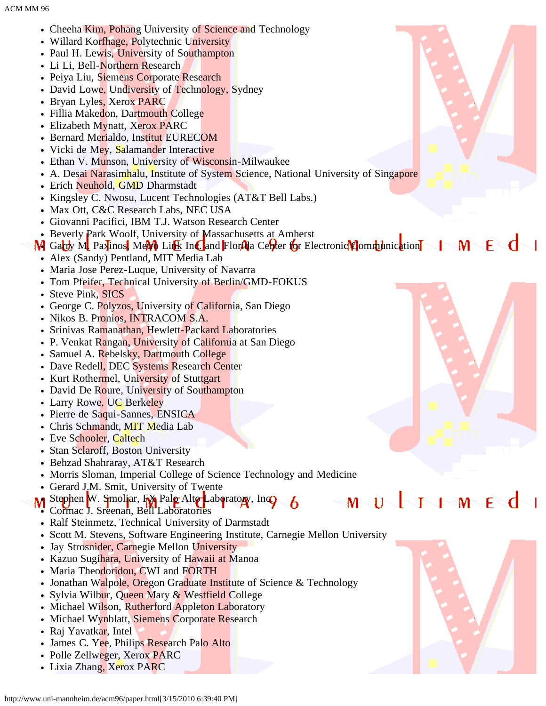- Cheeha Kim, Pohang University of Science and Technology
- Willard Korfhage, Polytechnic University
- Paul H. Lewis, University of Southampton
- Li Li, Bell-Northern Research
- Peiya Liu, Siemens Corporate Research
- David Lowe, Undiversity of Technology, Sydney
- Bryan Lyles, Xerox PARC
- Fillia Makedon, Dartmouth College
- Elizabeth Mynatt, Xerox PARC
- Bernard Merialdo, Institut EURECOM
- Vicki de Mey, Salamander Interactive
- Ethan V. Munson, University of Wisconsin-Milwaukee
- A. Desai Narasimhalu, Institute of System Science, National University of Singapore
- Erich Neuhold, GMD Dharmstadt
- Kingsley C. Nwosu, Lucent Technologies (AT&T Bell Labs.)
- Max Ott, C&C Research Labs, NEC USA
- Giovanni Pacifici, IBM T.J. Watson Research Center
- Beverly Park Woolf, University of Massachusetts at Amherst
- M Garry M Paxinos, MeM Link Inc. and Florida Center for Electronic Communication I M F
	- Alex (Sandy) Pentland, MIT Media Lab
	- Maria Jose Perez-Luque, University of Navarra
	- Tom Pfeifer, Technical University of Berlin/GMD-FOKUS
	- Steve Pink, SICS
	- George C. Polyzos, University of California, San Diego
	- Nikos B. Pronios, INTRACOM S.A.
	- Srinivas Ramanathan, Hewlett-Packard Laboratories
	- P. Venkat Rangan, University of California at San Diego
	- Samuel A. Rebelsky, Dartmouth College
	- Dave Redell, DEC Systems Research Center
	- Kurt Rothermel, University of Stuttgart
	- David De Roure, University of Southampton
	- Larry Rowe, UC Berkeley
	- Pierre de Saqui-Sannes, ENSICA
	- Chris Schmandt, MIT Media Lab
	- Eve Schooler, Caltech
	- Stan Sclaroff, Boston University
	- Behzad Shahraray, AT&T Research
	- Morris Sloman, Imperial College of Science Technology and Medicine
	- Gerard J.M. Smit, University of Twente
	- Stephen W. Smoliar, FX Palo Alto Laboratory, Inc. Cormac J. Sreenan, Bell Laboratories
	- Ralf Steinmetz, Technical University of Darmstadt
	- Scott M. Stevens, Software Engineering Institute, Carnegie Mellon University
	- Jay Strosnider, Carnegie Mellon University  $\bullet$
	- Kazuo Sugihara, University of Hawaii at Manoa
	- Maria Theodoridou, CWI and FORTH
	- Jonathan Walpole, Oregon Graduate Institute of Science & Technology
	- Sylvia Wilbur, Queen Mary & Westfield College
	- Michael Wilson, Rutherford Appleton Laboratory
	- Michael Wynblatt, Siemens Corporate Research
	- Raj Yavatkar, Intel
	- James C. Yee, Philips Research Palo Alto
	- Polle Zellweger, Xerox PARC • Lixia Zhang, Xerox PARC





M

F

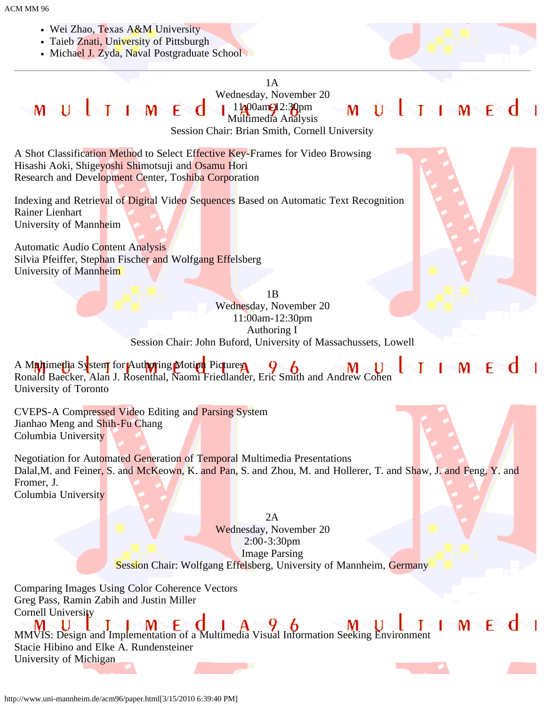- Wei Zhao, Texas A&M University
- Taieb Znati, University of Pittsburgh
- Michael J. Zyda, Naval Postgraduate School



## 1A

Wednesday, November 20 MUJJJMEJ MUJJIMEd  $11/00$ am $\bigcirc$ 12:30pm Multimedia Analysis

Session Chair: Brian Smith, Cornell University

A Shot Classification Method to Select Effective Key-Frames for Video Browsing Hisashi Aoki, Shigeyoshi Shimotsuji and Osamu Hori Research and Development Center, Toshiba Corporation

Indexing and Retrieval of Digital Video Sequences Based on Automatic Text Recognition Rainer Lienhart University of Mannheim

Automatic Audio Content Analysis Silvia Pfeiffer, Stephan Fischer and Wolfgang Effelsberg University of Mannheim



 $M \subseteq F \subseteq C$ 

**I** No

1B Wednesday, November 20 11:00am-12:30pm Authoring I Session Chair: John Buford, University of Massachussets, Lowell

**THE MENU** A M**a/t**ime**ti**a System for Authoring Motion Pictures Ronald Baecker, Alan J. Rosenthal, Naomi Friedlander, Eric Smith and Andrew Cohen University of Toronto

CVEPS-A Compressed Video Editing and Parsing System Jianhao Meng and Shih-Fu Chang Columbia University

Negotiation for Automated Generation of Temporal Multimedia Presentations Dalal, M. and Feiner, S. and McKeown, K. and Pan, S. and Zhou, M. and Hollerer, T. and Shaw, J. and Feng, Y. and Fromer, J. Columbia University

> 2A Wednesday, November 20 2:00-3:30pm Image Parsing Session Chair: Wolfgang Effelsberg, University of Mannheim, Germany

Comparing Images Using Color Coherence Vectors Greg Pass, Ramin Zabih and Justin Miller Cornell University

MMVIS: Design and Implementation of a Multimedia Visual Information Seeking Environment Stacie Hibino and Elke A. Rundensteiner University of Michigan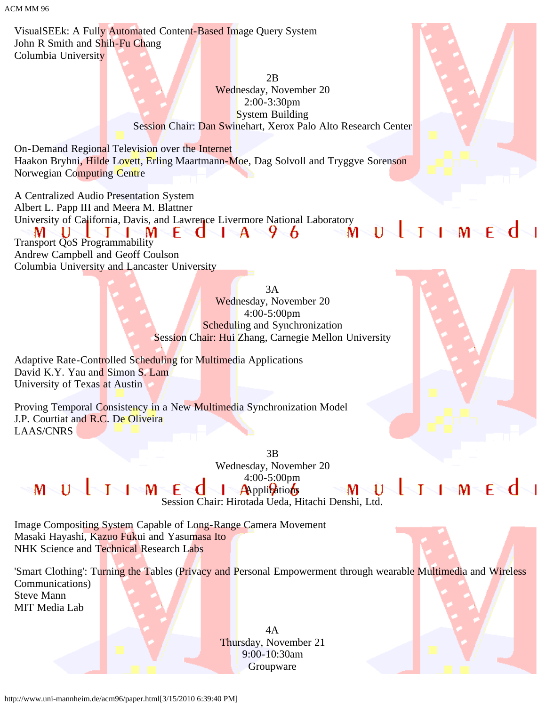ACM MM 96

VisualSEEk: A Fully Automated Content-Based Image Query System John R Smith and Shih-Fu Chang Columbia University

> 2B Wednesday, November 20 2:00-3:30pm System Building Session Chair: Dan Swinehart, Xerox Palo Alto Research Center

On-Demand Regional Television over the Internet Haakon Bryhni, Hilde Lovett, Erling Maartmann-Moe, Dag Solvoll and Tryggve Sorenson Norwegian Computing Centre

A Centralized Audio Presentation System Albert L. Papp III and Meera M. Blattner University of California, Davis, and Lawrence Livermore National Laboratory<br>  $M U$   $J$   $M E$   $A$   $9$   $6$   $M U$   $J$   $M E$ U N м Transport QoS Programmability Andrew Campbell and Geoff Coulson Columbia University and Lancaster University

> 3A Wednesday, November 20 4:00-5:00pm Scheduling and Synchronization Session Chair: Hui Zhang, Carnegie Mellon University

Adaptive Rate-Controlled Scheduling for Multimedia Applications David K.Y. Yau and Simon S. Lam University of Texas at Austin

Proving Temporal Consistency in a New Multimedia Synchronization Model J.P. Courtiat and R.C. De Oliveira LAAS/CNRS

> 3B Wednesday, November 20 4:00-5:00pm **Applications**

MULTIMEd Session Chair: Hirotada Ueda, Hitachi Denshi, Ltd.

 $\mathsf{M}^-$ 

Image Compositing System Capable of Long-Range Camera Movement Masaki Hayashi, Kazuo Fukui and Yasumasa Ito NHK Science and Technical Research Labs

'Smart Clothing': Turning the Tables (Privacy and Personal Empowerment through wearable Multimedia and Wireless Communications) Steve Mann

MIT Media Lab

4A Thursday, November 21 9:00-10:30am Groupware



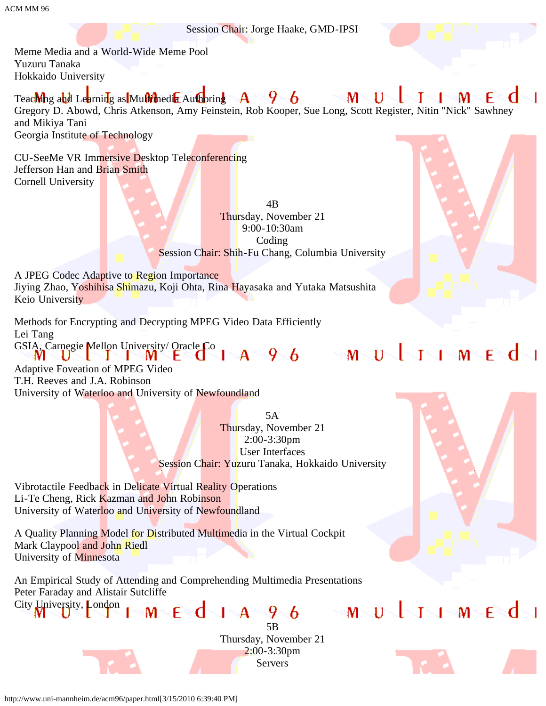Session Chair: Jorge Haake, GMD-IPSI

Meme Media and a World-Wide Meme Pool Yuzuru Tanaka Hokkaido University

 $\mathsf{M}^-$ Teaching and Learning as Multimedia Authoring  $\mathbf{A}$ फ्∽ 6 11 м Gregory D. Abowd, Chris Atkenson, Amy Feinstein, Rob Kooper, Sue Long, Scott Register, Nitin "Nick" Sawhney and Mikiya Tani Georgia Institute of Technology

CU-SeeMe VR Immersive Desktop Teleconferencing Jefferson Han and Brian Smith Cornell University

> 4B Thursday, November 21 9:00-10:30am Coding Session Chair: Shih-Fu Chang, Columbia University

A JPEG Codec Adaptive to Region Importance Jiying Zhao, Yoshihisa Shimazu, Koji Ohta, Rina Hayasaka and Yutaka Matsushita Keio University

Methods for Encrypting and Decrypting MPEG Video Data Efficiently Lei Tang GSIA, Carnegie Mellon University/Oracle Co | A 9 6 M U J I M E d

Adaptive Foveation of MPEG Video T.H. Reeves and J.A. Robinson University of Waterloo and University of Newfoundland

> 5A Thursday, November 21 2:00-3:30pm User Interfaces Session Chair: Yuzuru Tanaka, Hokkaido University

Vibrotactile Feedback in Delicate Virtual Reality Operations Li-Te Cheng, Rick Kazman and John Robinson University of Waterloo and University of Newfoundland

A Quality Planning Model for Distributed Multimedia in the Virtual Cockpit Mark Claypool and John Riedl University of Minnesota

An Empirical Study of Attending and Comprehending Multimedia Presentations Peter Faraday and Alistair Sutcliffe City University, London MUJJIMEd



http://www.uni-mannheim.de/acm96/paper.html[3/15/2010 6:39:40 PM]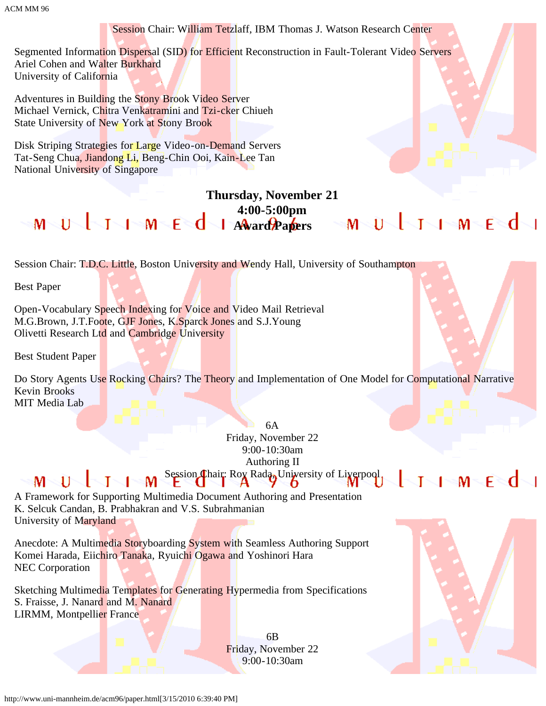Session Chair: William Tetzlaff, IBM Thomas J. Watson Research Center Segmented Information Dispersal (SID) for Efficient Reconstruction in Fault-Tolerant Video Servers Ariel Cohen and Walter Burkhard University of California Adventures in Building the Stony Brook Video Server Michael Vernick, Chitra Venkatramini and Tzi-cker Chiueh State University of New York at Stony Brook Disk Striping Strategies for Large Video-on-Demand Servers Tat-Seng Chua, Jiandong Li, Beng-Chin Ooi, Kain-Lee Tan National University of Singapore **Thursday, November 21 4:00-5:00pm**  $M \cup U$   $1 \cup M \in \mathbb{C}$   $d$   $1$   $A$   $A$   $a$   $a$   $b$   $a$   $b$   $c$   $s$   $M \cup U$   $1 \cup M \in \mathbb{C}$ Session Chair: T.D.C. Little, Boston University and Wendy Hall, University of Southampton Best Paper Open-Vocabulary Speech Indexing for Voice and Video Mail Retrieval M.G.Brown, J.T.Foote, GJF Jones, K.Sparck Jones and S.J.Young Olivetti Research Ltd and Cambridge University Best Student Paper Do Story Agents Use Rocking Chairs? The Theory and Implementation of One Model for Computational Narrative Kevin Brooks MIT Media Lab

> 6A Friday, November 22 9:00-10:30am Authoring II Session Chair: Rox Rada, University of Liverpool,

 $M \setminus U \setminus J$ Τ M A Framework for Supporting Multimedia Document Authoring and Presentation K. Selcuk Candan, B. Prabhakran and V.S. Subrahmanian

University of Maryland

Anecdote: A Multimedia Storyboarding System with Seamless Authoring Support Komei Harada, Eiichiro Tanaka, Ryuichi Ogawa and Yoshinori Hara NEC Corporation

Sketching Multimedia Templates for Generating Hypermedia from Specifications S. Fraisse, J. Nanard and M. Nanard LIRMM, Montpellier France

> 6B Friday, November 22 9:00-10:30am



√l≈M≂F≷d√l

T